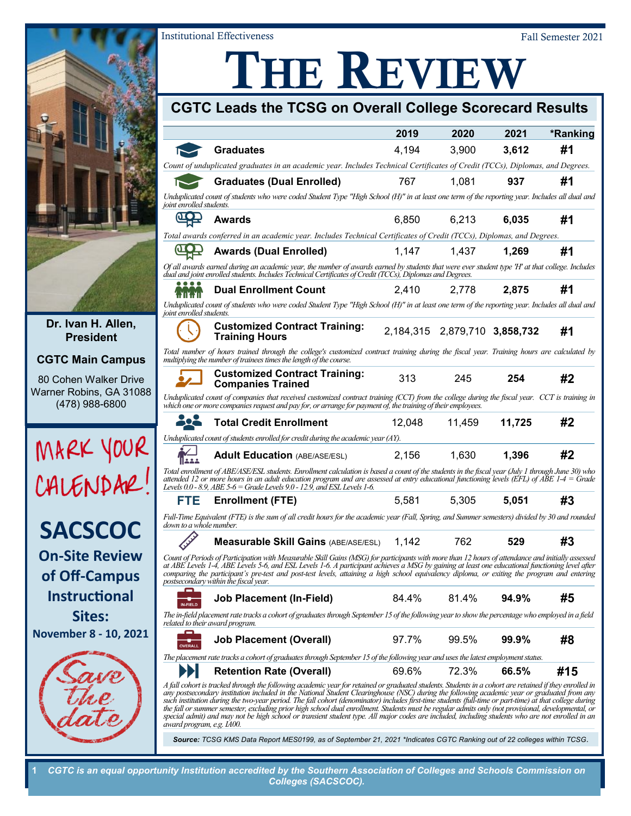

**Dr. Ivan H. Allen, President**

### **CGTC Main Campus**

80 Cohen Walker Drive Warner Robins, GA 31088 (478) 988-6800





**of Off-Campus Instructional Sites:**





# THE REVIEW

Institutional Effectiveness Fall Semester 2021

| CGTC Leads the TCSG on Overall College Scorecard Results                                                                                                                   |                                                                                                                                                                                                                                                                                                                                                                                                                                                                                                                                                                                                                                                                                                                                                                            |        |                               |          |          |  |
|----------------------------------------------------------------------------------------------------------------------------------------------------------------------------|----------------------------------------------------------------------------------------------------------------------------------------------------------------------------------------------------------------------------------------------------------------------------------------------------------------------------------------------------------------------------------------------------------------------------------------------------------------------------------------------------------------------------------------------------------------------------------------------------------------------------------------------------------------------------------------------------------------------------------------------------------------------------|--------|-------------------------------|----------|----------|--|
|                                                                                                                                                                            |                                                                                                                                                                                                                                                                                                                                                                                                                                                                                                                                                                                                                                                                                                                                                                            | 2019   | 2020                          | 2021     | *Ranking |  |
|                                                                                                                                                                            | <b>Graduates</b>                                                                                                                                                                                                                                                                                                                                                                                                                                                                                                                                                                                                                                                                                                                                                           | 4,194  | 3,900                         | 3,612    | #1       |  |
|                                                                                                                                                                            | Count of unduplicated graduates in an academic year. Includes Technical Certificates of Credit (TCCs), Diplomas, and Degrees.                                                                                                                                                                                                                                                                                                                                                                                                                                                                                                                                                                                                                                              |        |                               |          |          |  |
|                                                                                                                                                                            | <b>Graduates (Dual Enrolled)</b>                                                                                                                                                                                                                                                                                                                                                                                                                                                                                                                                                                                                                                                                                                                                           | 767    | 1.081                         | 937      | #1       |  |
| Unduplicated count of students who were coded Student Type "High School (H)" in at least one term of the reporting year. Includes all dual and<br>joint enrolled students. |                                                                                                                                                                                                                                                                                                                                                                                                                                                                                                                                                                                                                                                                                                                                                                            |        |                               |          |          |  |
| <b>LOD</b>                                                                                                                                                                 | <b>Awards</b>                                                                                                                                                                                                                                                                                                                                                                                                                                                                                                                                                                                                                                                                                                                                                              | 6.850  | 6.213                         | 6.035    | #1       |  |
|                                                                                                                                                                            | Total awards conferred in an academic year. Includes Technical Certificates of Credit (TCCs), Diplomas, and Degrees.                                                                                                                                                                                                                                                                                                                                                                                                                                                                                                                                                                                                                                                       |        |                               |          |          |  |
|                                                                                                                                                                            | <b>Awards (Dual Enrolled)</b>                                                                                                                                                                                                                                                                                                                                                                                                                                                                                                                                                                                                                                                                                                                                              | 1,147  | 1.437                         | 1,269    | #1       |  |
|                                                                                                                                                                            | Of all awards earned during an academic year, the number of awards earned by students that were ever student type 'H' at that college. Includes<br>dual and joint enrolled students. Includes Technical Certificates of Credit (TCCs), Diplomas and Degrees.                                                                                                                                                                                                                                                                                                                                                                                                                                                                                                               |        |                               |          |          |  |
|                                                                                                                                                                            | <b>Dual Enrollment Count</b>                                                                                                                                                                                                                                                                                                                                                                                                                                                                                                                                                                                                                                                                                                                                               | 2.410  | 2.778                         | 2,875    | #1       |  |
| Unduplicated count of students who were coded Student Type "High School (H)" in at least one term of the reporting year. Includes all dual and<br>joint enrolled students. |                                                                                                                                                                                                                                                                                                                                                                                                                                                                                                                                                                                                                                                                                                                                                                            |        |                               |          |          |  |
|                                                                                                                                                                            | <b>Customized Contract Training:</b><br><b>Training Hours</b>                                                                                                                                                                                                                                                                                                                                                                                                                                                                                                                                                                                                                                                                                                              |        | 2,184,315 2,879,710 3,858,732 |          | #1       |  |
|                                                                                                                                                                            | Total number of hours trained through the college's customized contract training during the fiscal year. Training hours are calculated by<br>multiplying the number of trainees times the length of the course.                                                                                                                                                                                                                                                                                                                                                                                                                                                                                                                                                            |        |                               |          |          |  |
|                                                                                                                                                                            | <b>Customized Contract Training:</b><br><b>Companies Trained</b>                                                                                                                                                                                                                                                                                                                                                                                                                                                                                                                                                                                                                                                                                                           | 313    | 245                           | 254      | #2       |  |
|                                                                                                                                                                            | Unduplicated count of companies that received customized contract training (CCT) from the college during the fiscal vear. CCT is training in<br>which one or more companies request and pay for, or arrange for payment of, the training of their employees.                                                                                                                                                                                                                                                                                                                                                                                                                                                                                                               |        |                               |          |          |  |
|                                                                                                                                                                            | <b>Total Credit Enrollment</b>                                                                                                                                                                                                                                                                                                                                                                                                                                                                                                                                                                                                                                                                                                                                             | 12.048 | 11,459                        | 11,725   | #2       |  |
|                                                                                                                                                                            | Unduplicated count of students enrolled for credit during the academic year $(AY)$ .                                                                                                                                                                                                                                                                                                                                                                                                                                                                                                                                                                                                                                                                                       |        |                               |          |          |  |
|                                                                                                                                                                            | <b>Adult Education (ABE/ASE/ESL)</b>                                                                                                                                                                                                                                                                                                                                                                                                                                                                                                                                                                                                                                                                                                                                       | 2,156  | 1.630                         | 1,396    | #2       |  |
|                                                                                                                                                                            | Total enrollment of ABE/ASE/ESL students. Enrollment calculation is based a count of the students in the fiscal year (July 1 through June 30) who<br>attended 12 or more hours in an adult education program and are assessed at entry educational functioning levels (EFL) of ABE 1-4 = Grade<br>Levels $0.0$ - 8.9, ABE 5-6 = Grade Levels $9.0$ - 12.9, and ESL Levels 1-6.                                                                                                                                                                                                                                                                                                                                                                                             |        |                               |          |          |  |
| FTE                                                                                                                                                                        | <b>Enrollment (FTE)</b>                                                                                                                                                                                                                                                                                                                                                                                                                                                                                                                                                                                                                                                                                                                                                    | 5.581  | 5.305                         | 5.051    | #3       |  |
| Full-Time Equivalent (FTE) is the sum of all credit hours for the academic year (Fall, Spring, and Summer semesters) divided by 30 and rounded<br>down to a whole number.  |                                                                                                                                                                                                                                                                                                                                                                                                                                                                                                                                                                                                                                                                                                                                                                            |        |                               |          |          |  |
|                                                                                                                                                                            | <b>Measurable Skill Gains (ABE/ASE/ESL)</b>                                                                                                                                                                                                                                                                                                                                                                                                                                                                                                                                                                                                                                                                                                                                | 1.142  | 762                           | 529      | #3       |  |
|                                                                                                                                                                            | Count of Periods of Participation with Measurable Skill Gains (MSG) for participants with more than 12 hours of attendance and initially assessed<br>at ABE Levels 1-4, ABE Levels 5-6, and ESL Levels 1-6. A participant achieves a MSG by gaining at least one educational functioning level after<br>comparing the participant's pre-test and post-test levels, attaining a high school equivalency diploma, or exiting the program and entering<br>postsecondary within the fiscal year.                                                                                                                                                                                                                                                                               |        |                               |          |          |  |
| <b>IN-FIELD</b>                                                                                                                                                            | <b>Job Placement (In-Field)</b>                                                                                                                                                                                                                                                                                                                                                                                                                                                                                                                                                                                                                                                                                                                                            | 84.4%  | 81.4%                         | 94.9%    | #5       |  |
|                                                                                                                                                                            | The in-field placement rate tracks a cohort of graduates through September 15 of the following year to show the percentage who employed in a field<br>related to their award program.                                                                                                                                                                                                                                                                                                                                                                                                                                                                                                                                                                                      |        |                               |          |          |  |
| <b>OVERALL</b>                                                                                                                                                             | <b>Job Placement (Overall)</b>                                                                                                                                                                                                                                                                                                                                                                                                                                                                                                                                                                                                                                                                                                                                             | 97.7%  | 99.5%                         | $99.9\%$ | #8       |  |
|                                                                                                                                                                            | The placement rate tracks a cohort of graduates through September 15 of the following year and uses the latest employment status.                                                                                                                                                                                                                                                                                                                                                                                                                                                                                                                                                                                                                                          |        |                               |          |          |  |
|                                                                                                                                                                            | <b>Retention Rate (Overall)</b>                                                                                                                                                                                                                                                                                                                                                                                                                                                                                                                                                                                                                                                                                                                                            | 69.6%  | 72.3%                         | 66.5%    | #15      |  |
| award program, e.g. IA00.                                                                                                                                                  | A fall cohort is tracked through the following academic year for retained or graduated students. Students in a cohort are retained if they enrolled in<br>any postsecondary institution included in the National Student Clearinghouse (NSC) during the following academic year or graduated from any<br>such institution during the two-year period. The fall cohort (denominator) includes first-time students (full-time or part-time) at that college during<br>the fall or summer semester, excluding prior high school dual enrollment. Students must be regular admits only (not provisional, developmental, or<br>special admit) and may not be high school or transient student type. All major codes are included, including students who are not enrolled in an |        |                               |          |          |  |

*Source: TCSG KMS Data Report MES0199, as of September 21, 2021 \*Indicates CGTC Ranking out of 22 colleges within TCSG.*